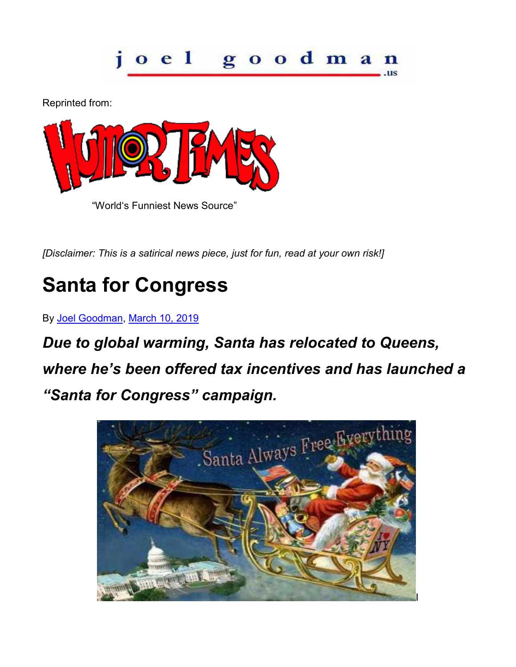joel goodman

Reprinted from:



"World's Funniest News Source"

*[Disclaimer: This is a satirical news piece, just for fun, read at your own risk!]* 

## **Santa for Congress**

By [Joel Goodman,](https://www.humortimes.com/author/jgoodman/) [March 10, 2019](https://www.humortimes.com/74235/santa-for-congress/) 

*Due to global warming, Santa has relocated to Queens, where he's been offered tax incentives and has launched a "Santa for Congress" campaign.*

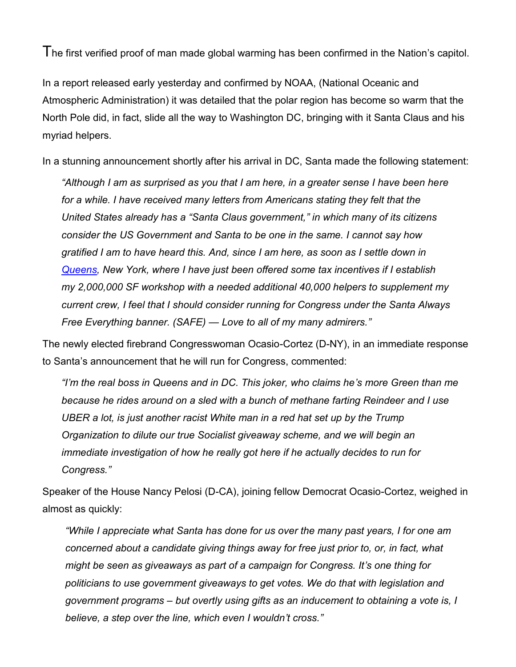The first verified proof of man made global warming has been confirmed in the Nation's capitol.

In a report released early yesterday and confirmed by NOAA, (National Oceanic and Atmospheric Administration) it was detailed that the polar region has become so warm that the North Pole did, in fact, slide all the way to Washington DC, bringing with it Santa Claus and his myriad helpers.

In a stunning announcement shortly after his arrival in DC, Santa made the following statement:

*"Although I am as surprised as you that I am here, in a greater sense I have been here*  for a while. I have received many letters from Americans stating they felt that the *United States already has a "Santa Claus government," in which many of its citizens consider the US Government and Santa to be one in the same. I cannot say how gratified I am to have heard this. And, since I am here, as soon as I settle down in [Queens,](https://en.wikipedia.org/wiki/Queens) New York, where I have just been offered some tax incentives if I establish my 2,000,000 SF workshop with a needed additional 40,000 helpers to supplement my current crew, I feel that I should consider running for Congress under the Santa Always Free Everything banner. (SAFE) — Love to all of my many admirers."*

The newly elected firebrand Congresswoman Ocasio-Cortez (D-NY), in an immediate response to Santa's announcement that he will run for Congress, commented:

*"I'm the real boss in Queens and in DC. This joker, who claims he's more Green than me because he rides around on a sled with a bunch of methane farting Reindeer and I use UBER a lot, is just another racist White man in a red hat set up by the Trump Organization to dilute our true Socialist giveaway scheme, and we will begin an immediate investigation of how he really got here if he actually decides to run for Congress."*

Speaker of the House Nancy Pelosi (D-CA), joining fellow Democrat Ocasio-Cortez, weighed in almost as quickly:

*"While I appreciate what Santa has done for us over the many past years, I for one am concerned about a candidate giving things away for free just prior to, or, in fact, what might be seen as giveaways as part of a campaign for Congress. It's one thing for politicians to use government giveaways to get votes. We do that with legislation and government programs – but overtly using gifts as an inducement to obtaining a vote is, I believe, a step over the line, which even I wouldn't cross."*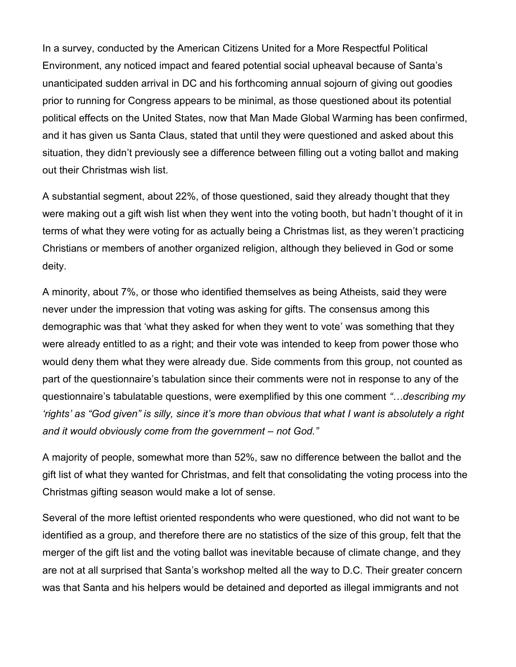In a survey, conducted by the American Citizens United for a More Respectful Political Environment, any noticed impact and feared potential social upheaval because of Santa's unanticipated sudden arrival in DC and his forthcoming annual sojourn of giving out goodies prior to running for Congress appears to be minimal, as those questioned about its potential political effects on the United States, now that Man Made Global Warming has been confirmed, and it has given us Santa Claus, stated that until they were questioned and asked about this situation, they didn't previously see a difference between filling out a voting ballot and making out their Christmas wish list.

A substantial segment, about 22%, of those questioned, said they already thought that they were making out a gift wish list when they went into the voting booth, but hadn't thought of it in terms of what they were voting for as actually being a Christmas list, as they weren't practicing Christians or members of another organized religion, although they believed in God or some deity.

A minority, about 7%, or those who identified themselves as being Atheists, said they were never under the impression that voting was asking for gifts. The consensus among this demographic was that 'what they asked for when they went to vote' was something that they were already entitled to as a right; and their vote was intended to keep from power those who would deny them what they were already due. Side comments from this group, not counted as part of the questionnaire's tabulation since their comments were not in response to any of the questionnaire's tabulatable questions, were exemplified by this one comment *"…describing my 'rights' as "God given" is silly, since it's more than obvious that what I want is absolutely a right*  and it would obviously come from the government – not God."

A majority of people, somewhat more than 52%, saw no difference between the ballot and the gift list of what they wanted for Christmas, and felt that consolidating the voting process into the Christmas gifting season would make a lot of sense.

Several of the more leftist oriented respondents who were questioned, who did not want to be identified as a group, and therefore there are no statistics of the size of this group, felt that the merger of the gift list and the voting ballot was inevitable because of climate change, and they are not at all surprised that Santa's workshop melted all the way to D.C. Their greater concern was that Santa and his helpers would be detained and deported as illegal immigrants and not